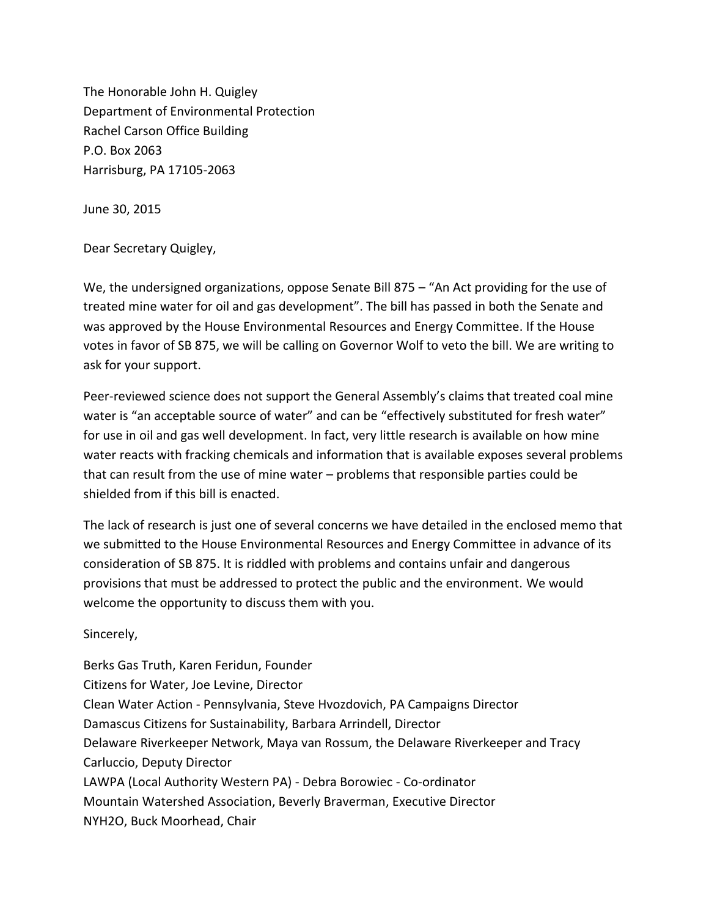The Honorable John H. Quigley Department of Environmental Protection Rachel Carson Office Building P.O. Box 2063 Harrisburg, PA 17105-2063

June 30, 2015

Dear Secretary Quigley,

We, the undersigned organizations, oppose Senate Bill 875 - "An Act providing for the use of treated mine water for oil and gas development". The bill has passed in both the Senate and was approved by the House Environmental Resources and Energy Committee. If the House votes in favor of SB 875, we will be calling on Governor Wolf to veto the bill. We are writing to ask for your support.

Peer-reviewed science does not support the General Assembly's claims that treated coal mine water is "an acceptable source of water" and can be "effectively substituted for fresh water" for use in oil and gas well development. In fact, very little research is available on how mine water reacts with fracking chemicals and information that is available exposes several problems that can result from the use of mine water – problems that responsible parties could be shielded from if this bill is enacted.

The lack of research is just one of several concerns we have detailed in the enclosed memo that we submitted to the House Environmental Resources and Energy Committee in advance of its consideration of SB 875. It is riddled with problems and contains unfair and dangerous provisions that must be addressed to protect the public and the environment. We would welcome the opportunity to discuss them with you.

Sincerely,

Berks Gas Truth, Karen Feridun, Founder Citizens for Water, Joe Levine, Director Clean Water Action - Pennsylvania, Steve Hvozdovich, PA Campaigns Director Damascus Citizens for Sustainability, Barbara Arrindell, Director Delaware Riverkeeper Network, Maya van Rossum, the Delaware Riverkeeper and Tracy Carluccio, Deputy Director LAWPA (Local Authority Western PA) - Debra Borowiec - Co-ordinator Mountain Watershed Association, Beverly Braverman, Executive Director NYH2O, Buck Moorhead, Chair